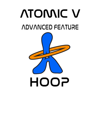# **ATOMIC V** *ADVANCED FEATURE*

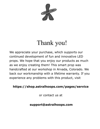

# Thank you!

We appreciate your purchase, which supports our continued development of fun and innovative LED props. We hope that you enjoy our products as much as we enjoy creating them! This smart prop was handcrafted at our workshop in Arvada, Colorado. We back our workmanship with a lifetime warranty. If you experience any problems with this product, visit

# **https://shop.astralhoops.com/pages/service**

or contact us at

# **support@astralhoops.com**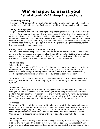# **We're happy to assist you! Astral Atomic V-AF Hoop Instructions**

#### **Assembling the hoop**

The Atomic V-AF comes with a push button connector. Simply push one end of the hoop into the other until both ends are flush together and the button pops through the hole.

#### **Taking the hoop apart**

The push button is sometimes a little tight. We prefer tight over loose since it wouldn't be very nice for a hoop to fly open during a performance. Here's a trick that makes it a bit easier: it helps to push on the button with a rigid object instead of with your finger. The end of a ballpoint pen (with the point still retracted) fits nicely over the button and works well for this. As you push the button, give the hoop a little twist so the push button goes under the hoop surface, then pull apart. With a little practice using this method, taking the hoop apart becomes much easier.

#### **Coiling down the hoop for travel and shipping**

If you need to coil the hoop later for shipping or travel, be careful not to coil the tubing any more than necessary and never smaller than a 20" diameter. Coiling it too small can cause the tubing to crease, crack, or shatter. We highly suggest using painter's tape instead of duct tape in the event that you need to coil your hoop down.

#### **Using the hoop**

#### Internal Battery model

Your hoop comes with a USB C charger. The light on the charger will show red while the hoop is charging. When the hoop is charged, the light will turn off and the charger will switch to a trickle charge. Charging takes about two hours if the hoop is completely dead. Replacement chargers are available for purchase at astralhoops.com.

To turn the hoop on, press the button on the hoop and the hoop will begin playing the first Mega Mix pattern. To turn the hoop off, press the button again and the hoop will turn off.

#### Selecting a pattern

Hold the hoop with your index finger on the joystick and the menu lights going out away from you. When in the selection menu, each light on the hoop represents a different pattern. You can click the joystick left-right and forward-back to move the cursor around this menu. To run the selected pattern, press the joystick inward. To return to the menu again from any running pattern, hold the joystick to the left for one second.

#### **Brightness**

The Atomic V-AF has a brightness control to allow you to set the intensity and manage battery life. To access the brightness menu, hold the joystick back towards you for one second while playing a pattern. Eight blue dots in the brightness menu represent the seven brightness levels. Move the cursor up and down, and press inwards to select. Crank it up for a dazzling performance or bump it down to conserve battery power.

#### Battery meter

Your hoop also has a battery meter. When playing a pattern, push in on the joystick and a series of dots ranging from green to yellow to red will appear. These represent how much charge is left on your battery. Continue to hold the joystick and the hoop will turn off.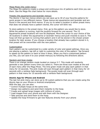#### Mega Mixes (the violet menu)

The Mega Mix patterns create a unique and continuous mix of patterns each time you use them. See the Mega Mix chart below for more details.

#### Presets (the aquamarine and lavender menus)

The Atomic V has two menus where you can save up to 30 of your favorite patterns for quick access in two different menus. These menus are aquamarine and lavender and are found in the second and third menus. If you try to select a location in either preset menu that does not already have a pattern stored, the cursor will blink red.

To store patterns in the preset menu: first, go to the pattern you would like to store. While the pattern is running, hold the joystick forward for one second. The 15 Aquamarine preset locations will now be displayed. Move the cursor to your choice of the 30 locations in either the aquamarine or lavender menus and push inwards to save it. The hoop will then go back to running that pattern and it will be stored in the chosen preset location for later access. If you choose a location that already has a pattern stored in it, that preset will be overwritten with the new pattern.

#### Customization

Each pattern can be customized to a wide variety of color and speed settings. Once you are playing a pattern, tap left or right to customize the color of the pattern. Tap forward to speed up the pattern or back to slow it down. When you find a customized pattern you like, you can save it to your preset menu(s) by following the directions above.

#### Random and Scan modes

There is an orange random mode located on menus 3-7. This mode will randomly generate a new pattern every time you select it. There are three scan modes at the end of each menu after the Mega Mixes. The lime green mode will play each pattern in that menu for 10 seconds. The pink mode will scan through each pattern in that menu for 10 seconds with a rainbow fade background. The purple mode will scan through each pattern in that menu for 10 seconds with a rainbow flash background.

#### **Atomic App for iPhone and Android**

The last hot pink menu can store up to 30 custom patterns that you can create using the Atomic App on your iPhone or Android smartphone.

With the app, you can also:

- \* Control multiple hoops at the same time.
- \* Design new patterns and send them instantly to the hoop.
- \* Create and upload large images with millions of colors.
- \* Load images from your phone and edit them with the Designer.
- \* Take pictures and send them to the hoop.
- \* Update the hoop firmware to get new features directly from your phone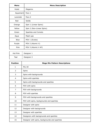| Menu      | <b>Menu Description</b>   |
|-----------|---------------------------|
| Violet    | Megamix                   |
| Aquamarin | Favs 1                    |
| Lavender  | Favs 2                    |
| Red       | Solids                    |
| Orange    | Spin 1 (Linear Spins)     |
| Yellow    | Spin 2 (Non-Linear Spins) |
| Green     | Sparkles and Comets       |
| Aqua      | Mash-ups                  |
| Blue      | POV 1 (Evoke)             |
| Purple    | POV 2 (Atomic V)          |
| Pink      | POV 3 (Atomic V AF)       |

| Hot Pink | Designer 1 |
|----------|------------|
| Teal     | Designer 2 |

| <b>Position</b> | <b>Mega Mix Pattern Descriptions</b>          |
|-----------------|-----------------------------------------------|
| 1               | Mix All                                       |
| $\overline{2}$  | Spins                                         |
| 3               | Spins with backgrounds                        |
| 4               | Spins with sparkles                           |
| 5               | Spins with backgrounds and sparkles           |
| 6               | POV with spins                                |
| 7               | POV with backgrounds                          |
| 8               | POV with sparkles                             |
| 9               | POV with backgrounds and sparkles             |
| 10              | POV with spins, backgrounds and sparkles      |
| 11              | Designer with spins                           |
| 12              | Designer with backgrounds                     |
| 13              | Designer with sparkles                        |
| 14              | Designers with backgrounds and sparkles       |
| 15              | Designer with spins, backgrounds and sparkles |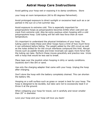# **Astral Hoop Care Instructions**

Avoid getting your hoop wet or exposing it to damp conditions. Store

your hoop at room temperature (60 to 85 degrees Fahrenheit).

Avoid prolonged exposure to direct sunlight or excessive heat such as a car parked in the sun on a hot summer day.

Avoid exposure to extreme cold. This is especially important for polypropylene hoops as polypropylene becomes brittle when cold and can crack from extreme cold. Also be extra cautious when hooping with a cold polypropylene hoop. Cold tubing will fail with less force than at room temperature.

It's important to understand the physical limitations of your hoop. The tubing used to make these and other hoops have a limit of how much force it can withstand before failing. The weight added by the LED circuit as well as the holes drilled for for the circuit interfaces compound this limit. Abrupt moves such as paddle breaks and knee reversals can apply more force than the tubing can take. Perform these moves gracefully and practice new tricks with a hoop that would be less sad to break.

Place tape over the joystick when hooping in dirty or sandy conditions. Joysticks don't like dirt or sand.

Use only the charging adapter that came with your hoop. Unplug the hoop after charging.

Don't store the hoop with the battery completely drained. This can shorten the battery life.

Hooping on a soft surface such as grass or carpet is best for your hoop. The hoop is designed to be durable, but take care not to excessively beat it or throw it at the ground.

When collapsing your hoop for travel, coil it carefully and never smaller than 20" in diameter.

Love your hoop and your hoop will love you back!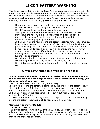# **LI-ION BATTERY WARNING**

This hoop may contain a Li-ion battery. We use advanced protection circuitry to protect the hoop and batteries in the event of a problem and minimize dangers. However, Li-ion batteries can catch fire and/or explode if misused or exposed to conditions such as water or extreme heat. Please read and understand the following cautions so you can enjoy safe and proper use of your hoop.

Never store hoop inside your car in extreme temperatures.

Do NOT expose to direct sunlight for extended periods.

Do NOT expose hoop to other extreme heat or flame.

Storing at room temperature between 40 and 80 degrees F is best.

Don't leave the hoop with a dead battery for an extended period.

Charge battery every 2 months when not in use to keep it fresh. Never leave a charging hoop unattended.

If the battery or the hoop around the battery becomes hot, swells, smokes, leaks, or is punctured, turn the hoop off, disconnect it from the charger, and put it in a safe place to observe it for approximately 15 minutes. If the battery has been damaged, do not turn on or charge the hoop. Never expose hoop to moisture. If the hoop does get wet, allow it to dry thoroughly and ensure there is no moisture trapped inside the hoop before turning it on or charging it.

Only charge with the Li-ion smart charger that we supply with the hoop. NEVER plug or stick anything else into the charging port.

Do not disassemble the hoop or tamper with the battery or circuit in any way.

#### **A note about using this hoop as a fire hoop:**

#### **We recommend that only trained and experienced fire hoopers attempt to use this hoop as a fire hoop. If you attach fire wicks to this hoop, you do so entirely at your own risk.**

Keep the flame away from the tubing and battery.

If the tubing around the battery is damaged by the fire, or if the battery shows signs of damage, or if the hoop or battery begins to swell or smoke, turn the hoop off and put it in a safe place to observe it for approximately 15 minutes. If the battery area of the hoop catches fire, put it out with a class C fire extinguisher, NOT water.

Do NOT turn the hoop on or plug it into the charger if the battery or the tubing around the battery shows signs of damage due to heat or fire.

#### **Contains Transmitter Module FCC ID: A8TBM71S2**

This device complies with Part 15 of the FCC Rules. Operation is subject to the following two conditions: (1) this device may not cause harmful interference, and (2) this device must accept any interference received, including interference that may cause undesired operation.